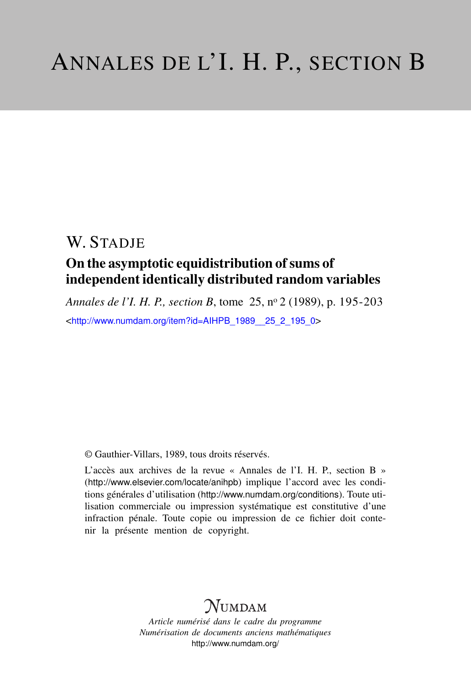# W. STADIE

# On the asymptotic equidistribution of sums of independent identically distributed random variables

*Annales de l'I. H. P., section B*, tome 25, n<sup>o</sup> 2 (1989), p. 195-203 <[http://www.numdam.org/item?id=AIHPB\\_1989\\_\\_25\\_2\\_195\\_0](http://www.numdam.org/item?id=AIHPB_1989__25_2_195_0)>

© Gauthier-Villars, 1989, tous droits réservés.

L'accès aux archives de la revue « Annales de l'I. H. P., section B » (<http://www.elsevier.com/locate/anihpb>) implique l'accord avec les conditions générales d'utilisation (<http://www.numdam.org/conditions>). Toute utilisation commerciale ou impression systématique est constitutive d'une infraction pénale. Toute copie ou impression de ce fichier doit contenir la présente mention de copyright.

# $N$ UMDAM

*Article numérisé dans le cadre du programme Numérisation de documents anciens mathématiques* <http://www.numdam.org/>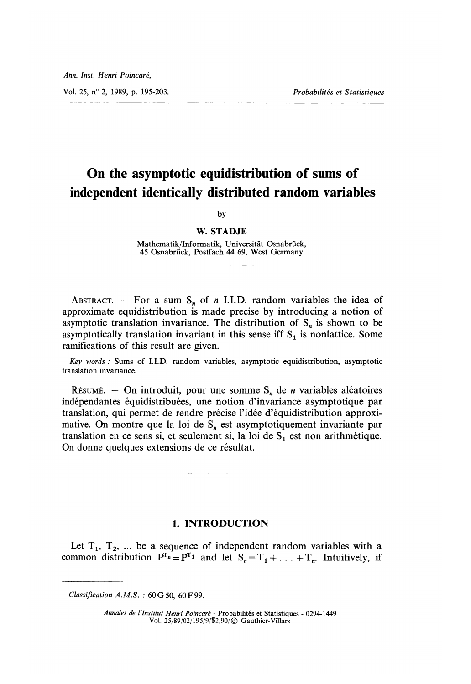Vol. 25, n° 2, 1989, p. 195-203. Probabilités et Statistiques

# On the asymptotic equidistribution of sums of independent identically distributed random variables

by

#### W. STADJE

Mathematik/Informatik, Universität Osnabrück, 45 Osnabrück, Postfach 44 69, West Germany

ABSTRACT. - For a sum  $S_n$  of n I.I.D. random variables the idea of approximate equidistribution is made precise by introducing a notion of asymptotic translation invariance. The distribution of  $S_n$  is shown to be asymptotically translation invariant in this sense iff  $S<sub>1</sub>$  is nonlattice. Some ramifications of this result are given.

Key words : Sums of I.I.D. random variables, asymptotic equidistribution, asymptotic translation invariance.

Résumé. - On introduit, pour une somme  $S_n$  de *n* variables aléatoires indépendantes équidistribuées, une notion d'invariance asymptotique par translation, qui permet de rendre precise l'idée d'équidistribution approximative. On montre que la loi de  $S_n$  est asymptotiquement invariante par translation en ce sens si, et seulement si, la loi de  $S_1$  est non arithmétique. On donne quelques extensions de ce résultat.

### 1. INTRODUCTION

Let  $T_1$ ,  $T_2$ , ... be a sequence of independent random variables with a common distribution  $P^{T_n} = P^{T_1}$  and let  $S_n = T_1 + ... + T_n$ . Intuitively, if

Annales de l'Institut Henri Poincaré - Probabilités et Statistiques - 0294-1449 Vol. 25/89/02/ 195/9 j\$2,90/ © Gauthier-Villars

Classification  $A.M.S.$ : 60 G 50, 60 F 99.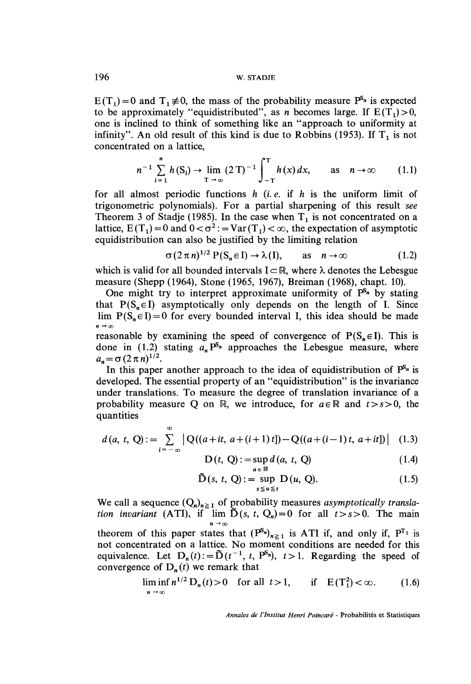$E(T_1)=0$  and  $T_1 \neq 0$ , the mass of the probability measure  $P^{s_n}$  is expected to be approximately "equidistributed", as *n* becomes large. If  $E(T_1) > 0$ , one is inclined to think of something like an "approach to uniformity at infinity". An old result of this kind is due to Robbins (1953). If  $T_1$  is not concentrated on a lattice,

$$
n^{-1} \sum_{i=1}^{n} h(S_i) \to \lim_{T \to \infty} (2T)^{-1} \int_{-T}^{T} h(x) dx, \quad \text{as} \quad n \to \infty \qquad (1.1)
$$

for all almost periodic functions  $h$  (*i.e.* if  $h$  is the uniform limit of trigonometric polynomials). For a partial sharpening of this result see Theorem 3 of Stadje (1985). In the case when  $T_1$  is not concentrated on a lattice,  $E(T_1) = 0$  and  $0 < \sigma^2$ : = Var $(T_1) < \infty$ , the expectation of asymptotic equidistribution can also be justified by the limiting relation

$$
\sigma(2\pi n)^{1/2} P(S_n \in I) \to \lambda(I), \quad \text{as} \quad n \to \infty \tag{1.2}
$$

which is valid for all bounded intervals  $I \subset \mathbb{R}$ , where  $\lambda$  denotes the Lebesgue measure (Shepp ( 1964), Stone ( 1965, 1967), Breiman ( 1968), chapt. 10).

One might try to interpret approximate uniformity of  $P^{S_n}$  by stating that  $P(S_n \in I)$  asymptotically only depends on the length of I. Since lim  $P(S_n \in I) = 0$  for every bounded interval I, this idea should be made  $n \to \infty$ 

reasonable by examining the speed of convergence of  $P(S_n \in I)$ . This is done in (1.2) stating  $a_n P^{s_n}$  approaches the Lebesgue measure, where  $a_n = \sigma (2 \pi n)^{1/2}.$ 

In this paper another approach to the idea of equidistribution of  $P^{S_n}$  is developed. The essential property of an "equidistribution" is the invariance under translations. To measure the degree of translation invariance of a probability measure Q on R, we introduce, for  $a \in \mathbb{R}$  and  $t > s > 0$ , the quantities

$$
d(a, t, Q) := \sum_{i=-\infty}^{\infty} |Q((a+it, a+(i+1)t]) - Q((a+(i-1)t, a+it])| \quad (1.3)
$$

$$
D(t, Q) := \sup_{a \in \mathbb{R}} d(a, t, Q) \tag{1.4}
$$

$$
\tilde{\mathbf{D}}(s, t, \mathbf{Q}) := \sup_{s \le u \le t} \mathbf{D}(u, \mathbf{Q}). \tag{1.5}
$$

We call a sequence  $(Q_n)_{n \geq 1}$  of probability measures asymptotically translation invariant (ATI), if  $\lim_{h \to 0} D(s, t, Q_h) = 0$  for all  $t > s > 0$ . The main

theorem of this paper states that  $(P^{S_n})_{n\geq 1}$  is ATI if, and only if,  $P^{T_1}$  is not concentrated on a lattice. No moment conditions are needed for this equivalence. Let  $D_n(t) := \tilde{D}(t^{-1}, t, P^{s_n})$ ,  $t > 1$ . Regarding the speed of convergence of  $D_n(t)$  we remark that

$$
\liminf_{n \to \infty} n^{1/2} D_n(t) > 0 \quad \text{for all } t > 1, \qquad \text{if} \quad E(T_1^2) < \infty. \tag{1.6}
$$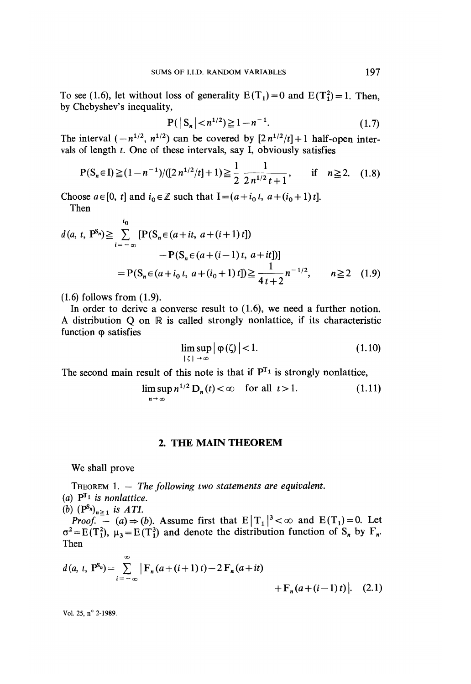To see (1.6), let without loss of generality  $E(T_1) = 0$  and  $E(T_1^2) = 1$ . Then, by Chebyshev's inequality,

$$
P(|S_n| < n^{1/2}) \ge 1 - n^{-1}.
$$
 (1.7)

The interval  $(-n^{1/2}, n^{1/2})$  can be covered by  $[2n^{1/2}/t] + 1$  half-open intervals of length  $t$ . One of these intervals, say I, obviously satisfies

$$
P(S_n \in I) \ge (1 - n^{-1}) / ([2 n^{1/2}/t] + 1) \ge \frac{1}{2} \frac{1}{2 n^{1/2} t + 1}, \quad \text{if} \quad n \ge 2. \quad (1.8)
$$

Choose  $a \in [0, t]$  and  $i_0 \in \mathbb{Z}$  such that  $I = (a + i_0 t, a + (i_0 + 1) t]$ .

Then

$$
d(a, t, P^{S_n}) \geq \sum_{i=-\infty}^{i_0} [P(S_n \in (a+it, a+(i+1)t]) - P(S_n \in (a+(i-1)t, a+it)])
$$
  
=  $P(S_n \in (a+i_0 t, a+(i_0+1)t]) \geq \frac{1}{4t+2} n^{-1/2}, \qquad n \geq 2 \quad (1.9)$ 

 $(1.6)$  follows from  $(1.9)$ .

In order to derive a converse result to  $(1.6)$ , we need a further notion. A distribution  $Q$  on  $\mathbb R$  is called strongly nonlattice, if its characteristic function  $\varphi$  satisfies

$$
\limsup_{|\zeta| \to \infty} |\varphi(\zeta)| < 1. \tag{1.10}
$$

The second main result of this note is that if  $P^{T_1}$  is strongly nonlattice,

$$
\limsup_{n \to \infty} n^{1/2} D_n(t) < \infty \quad \text{for all } t > 1. \tag{1.11}
$$

### 2. THE MAIN THEOREM

We shall prove

THEOREM 1.  $-$  The following two statements are equivalent. (a)  $P^{T_1}$  is nonlattice. (b)  $(P^{S_n})_{n \geq 1}$  is ATI.

*Proof.* – (a)  $\Rightarrow$  (b). Assume first that  $E|T_1|^3 < \infty$  and  $E(T_1)=0$ . Let  $\sigma^2 = E(T_1^2)$ ,  $\mu_3 = E(T_1^3)$  and denote the distribution function of S<sub>n</sub> by F<sub>n</sub>. Then

$$
d(a, t, P^{S_n}) = \sum_{i=-\infty}^{\infty} |F_n(a + (i+1) t) - 2 F_n(a + it) + F_n(a + (i-1) t)|.
$$
 (2.1)

Vol. 25, n° 2-1989.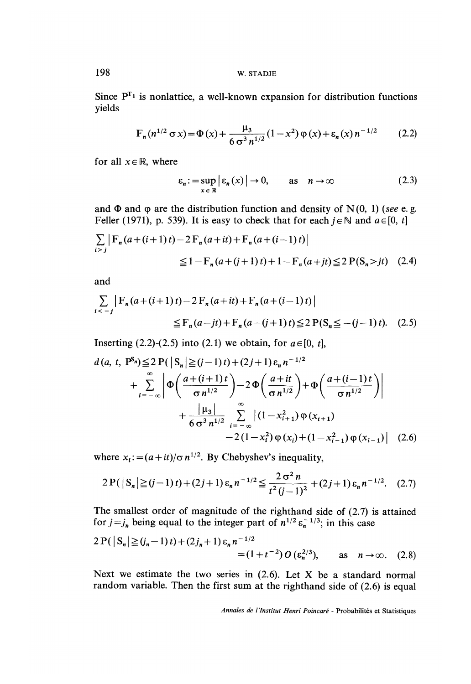198 W. STADJE

Since  $P^{T_1}$  is nonlattice, a well-known expansion for distribution functions yields

$$
F_n(n^{1/2}\sigma x) = \Phi(x) + \frac{\mu_3}{6\sigma^3 n^{1/2}}(1-x^2)\phi(x) + \varepsilon_n(x)n^{-1/2}
$$
 (2.2)

for all  $x \in \mathbb{R}$ , where

$$
\varepsilon_n := \sup_{x \in \mathbb{R}} \left| \varepsilon_n(x) \right| \to 0, \qquad \text{as} \quad n \to \infty \tag{2.3}
$$

and  $\Phi$  and  $\phi$  are the distribution function and density of N(0, 1) (see e.g. Feller (1971), p. 539). It is easy to check that for each  $i \in \mathbb{N}$  and  $a \in [0, t]$ 

$$
\sum_{i > j} |F_n(a + (i+1)t) - 2F_n(a + it) + F_n(a + (i-1)t)|
$$
  
\n
$$
\leq 1 - F_n(a + (j+1)t) + 1 - F_n(a + it) \leq 2P(S_n > it)
$$
 (2.4)

and

$$
\sum_{i < -j} \left| F_n(a + (i+1)t) - 2 F_n(a + it) + F_n(a + (i-1)t) \right|
$$
\n
$$
\leq F_n(a - jt) + F_n(a - (j+1)t) \leq 2 P(S_n \leq -(j-1)t). \tag{2.5}
$$

Inserting (2.2)-(2.5) into (2.1) we obtain, for  $a \in [0, t]$ ,

$$
d(a, t, P^{s_n}) \le 2 P(|S_n| \ge (j-1)t) + (2j+1) \varepsilon_n n^{-1/2}
$$
  
+ 
$$
\sum_{i=-\infty}^{\infty} \left| \Phi\left(\frac{a+(i+1)t}{\sigma n^{1/2}}\right) - 2 \Phi\left(\frac{a+it}{\sigma n^{1/2}}\right) + \Phi\left(\frac{a+(i-1)t}{\sigma n^{1/2}}\right) \right|
$$
  
+ 
$$
\frac{|\mu_3|}{6 \sigma^3 n^{1/2}} \sum_{i=-\infty}^{\infty} |(1-x_{i+1}^2) \phi(x_{i+1}) - 2(1-x_i^2) \phi(x_i) + (1-x_{i-1}^2) \phi(x_{i-1})| \quad (2.6)
$$

where  $x_i := (a + it)/\sigma n^{1/2}$ . By Chebyshev's inequality,

$$
2\Pr(|S_n| \ge (j-1)t) + (2j+1)\varepsilon_n n^{-1/2} \le \frac{2\sigma^2 n}{t^2 (j-1)^2} + (2j+1)\varepsilon_n n^{-1/2}.
$$
 (2.7)

The smallest order of magnitude of the righthand side of (2.7) is attained for  $j = j_n$  being equal to the integer part of  $n^{1/2} \varepsilon_n^{-1/3}$ ; in this case

$$
2\Pr(|S_n| \ge (j_n - 1)t) + (2j_n + 1)\epsilon_n n^{-1/2}
$$
  
= (1 + t<sup>-2</sup>) O (ε<sub>n</sub><sup>2/3</sup>), as n \to \infty. (2.8)

Next we estimate the two series in  $(2.6)$ . Let X be a standard normal random variable. Then the first sum at the righthand side of (2.6) is equal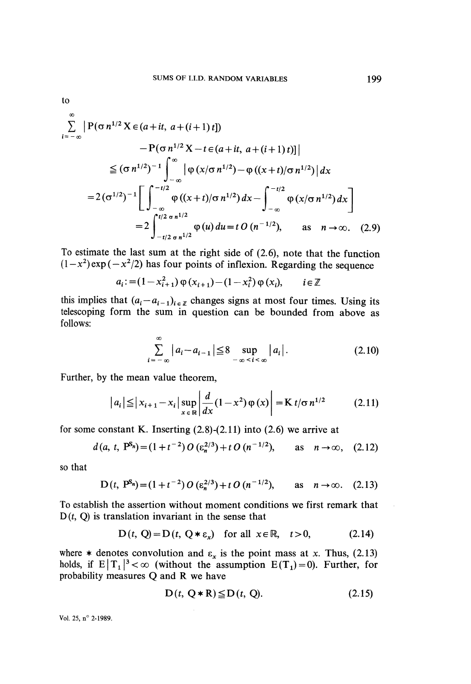to

$$
\sum_{i=-\infty}^{\infty} \left| P(\sigma n^{1/2} X \in (a+it, a+(i+1)t]) - P(\sigma n^{1/2} X - t \in (a+it, a+(i+1)t)] \right|
$$
  
\n
$$
\leq (\sigma n^{1/2})^{-1} \int_{-\infty}^{\infty} \left| \varphi(x/\sigma n^{1/2}) - \varphi((x+t)/\sigma n^{1/2}) \right| dx
$$
  
\n
$$
= 2(\sigma^{1/2})^{-1} \left[ \int_{-\infty}^{-t/2} \varphi((x+t)/\sigma n^{1/2}) dx - \int_{-\infty}^{-t/2} \varphi(x/\sigma n^{1/2}) dx \right]
$$
  
\n
$$
= 2 \int_{-t/2}^{t/2} \frac{\varphi(u)}{\varphi(u)} du = t O(n^{-1/2}), \quad \text{as} \quad n \to \infty. \quad (2.9)
$$

To estimate the last sum at the right side of (2.6), note that the function  $(1-x^2)$  exp  $(-x^2/2)$  has four points of inflexion. Regarding the sequence

$$
a_i := (1 - x_{i+1}^2) \varphi(x_{i+1}) - (1 - x_i^2) \varphi(x_i), \qquad i \in \mathbb{Z}
$$

this implies that  $(a_i - a_{i-1})_{i \in \mathbb{Z}}$  changes signs at most four times. Using its telescoping form the sum in question can be bounded from above as follows:

$$
\sum_{i=-\infty}^{\infty} |a_i - a_{i-1}| \leq 8 \sup_{-\infty < i < \infty} |a_i| \,. \tag{2.10}
$$

Further, by the mean value theorem,

$$
|a_i| \leq |x_{i+1} - x_i| \sup_{x \in \mathbb{R}} \left| \frac{d}{dx} (1 - x^2) \varphi(x) \right| = K t / \sigma n^{1/2}
$$
 (2.11)

for some constant K. Inserting  $(2.8)$ - $(2.11)$  into  $(2.6)$  we arrive at

$$
d(a, t, P^{s_n}) = (1 + t^{-2}) O(\epsilon_n^{2/3}) + t O(n^{-1/2}), \quad \text{as} \quad n \to \infty, \quad (2.12)
$$

so that

$$
D(t, P^{s_n}) = (1 + t^{-2}) O(\varepsilon_n^{2/3}) + t O(n^{-1/2}), \quad \text{as} \quad n \to \infty. \quad (2.13)
$$

To establish the assertion without moment conditions we first remark that .  $D(t, Q)$  is translation invariant in the sense that

$$
D(t, Q) = D(t, Q * \varepsilon_x) \text{ for all } x \in \mathbb{R}, t > 0,
$$
 (2.14)

where  $*$  denotes convolution and  $\varepsilon_x$  is the point mass at x. Thus, (2.13) holds, if  $E|T_1|^3 < \infty$  (without the assumption  $E(T_1)=0$ ). Further, for probability measures Q and R we have

$$
D(t, Q \ast R) \leq D(t, Q). \tag{2.15}
$$

Vol. 25, n° 2-1989.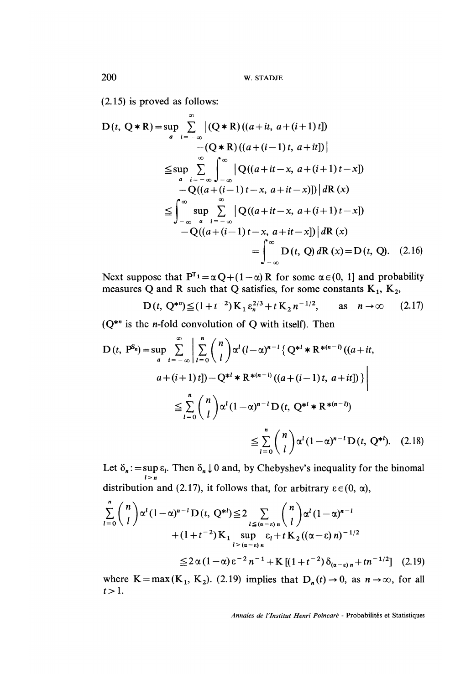(2.15) is proved as follows:

$$
D(t, Q * R) = \sup_{a} \sum_{i=-\infty}^{\infty} |(Q * R)((a + it, a + (i + 1) t])
$$
  
\n
$$
-(Q * R)((a + (i - 1) t, a + it])|
$$
  
\n
$$
\leq \sup_{a} \sum_{i=-\infty}^{\infty} \int_{-\infty}^{\infty} |Q((a + it - x, a + (i + 1) t - x])
$$
  
\n
$$
-Q((a + (i - 1) t - x, a + it - x)]) | dR(x)
$$
  
\n
$$
\leq \int_{-\infty}^{\infty} \sup_{a} \sum_{i=-\infty}^{\infty} |Q((a + it - x, a + (i + 1) t - x])
$$
  
\n
$$
-Q((a + (i - 1) t - x, a + it - x)) | dR(x)
$$
  
\n
$$
= \int_{-\infty}^{\infty} D(t, Q) dR(x) = D(t, Q). (2.16)
$$

Next suppose that  $P^{T_1} = \alpha Q + (1 - \alpha)R$  for some  $\alpha \in (0, 1]$  and probability measures Q and R such that Q satisfies, for some constants K<sub>1</sub>, K<sub>2</sub>,

$$
D(t, Q^{*n}) \leq (1+t^{-2}) K_1 \varepsilon_n^{2/3} + t K_2 n^{-1/2}, \qquad \text{as} \quad n \to \infty \tag{2.17}
$$

 $(Q^{*n})$  is the *n*-fold convolution of Q with itself). Then

$$
D(t, P^{S_n}) = \sup_{a} \sum_{i=-\infty}^{\infty} \left| \sum_{l=0}^{n} {n \choose l} \alpha^l (l-\alpha)^{n-l} \{ Q^{*l} * R^{*(n-l)} ((a+it, a+(i+1) t]) - Q^{*l} * R^{*(n-l)} ((a+(i-1) t, a+it]) \} \right|
$$
  

$$
\leq \sum_{l=0}^{n} {n \choose l} \alpha^l (1-\alpha)^{n-l} D(t, Q^{*l} * R^{*(n-l)})
$$
  

$$
\leq \sum_{l=0}^{n} {n \choose l} \alpha^l (1-\alpha)^{n-l} D(t, Q^{*l})
$$
 (2.18)

Let  $\delta_n := \sup_{l>n} \varepsilon_l$ . Then  $\delta_n \downarrow 0$  and, by Chebyshev's inequality for the binomal distribution and (2.17), it follows that, for arbitrary  $\varepsilon \in (0, \alpha)$ ,

$$
\sum_{l=0}^{n} {n \choose l} \alpha^{l} (1-\alpha)^{n-l} D(t, Q^{*l}) \leq 2 \sum_{\substack{l \leq (\alpha-\epsilon)n \\ l > (\alpha-\epsilon)n}} {n \choose l} \alpha^{l} (1-\alpha)^{n-l} + (1+t^{-2}) \mathbf{K}_{1} \sup_{l > (\alpha-\epsilon)n} \varepsilon_{l} + t \mathbf{K}_{2} ((\alpha-\epsilon)n)^{-1/2}
$$
  

$$
\leq 2 \alpha (1-\alpha) \varepsilon^{-2} n^{-1} + \mathbf{K} [(1+t^{-2}) \delta_{(\alpha-\epsilon)n} + t n^{-1/2}] \quad (2.19)
$$

where  $K = max(K_1, K_2)$ . (2.19) implies that  $D_n(t) \rightarrow 0$ , as  $n \rightarrow \infty$ , for all  $t > 1$ .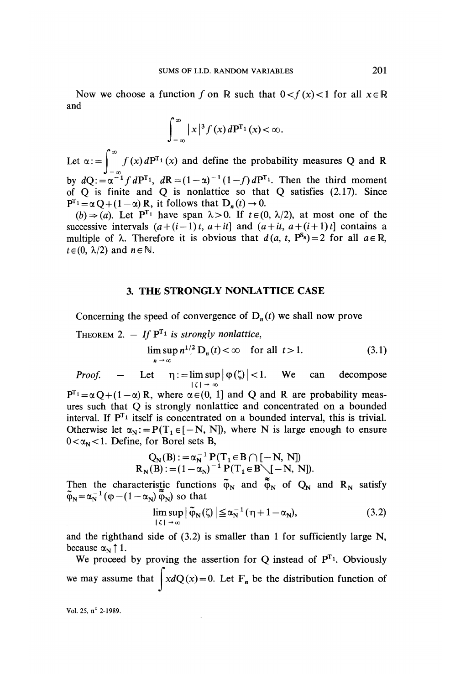Now we choose a function f on R such that  $0 < f(x) < 1$  for all  $x \in \mathbb{R}$ and

$$
\int_{-\infty}^{\infty} |x|^3 f(x) dP^{T_1}(x) < \infty.
$$

Let  $\alpha$ : =  $\int_{-\infty}^{\infty} f(x) dP^{T_1}(x)$  and define the probability measures Q and R by  $dQ = \alpha^{-1} f dP^{T_1}$ ,  $dR = (1 - \alpha)^{-1} (1 - f) dP^{T_1}$ . Then the third moment of  $Q$  is finite and  $Q$  is nonlattice so that  $Q$  satisfies (2.17). Since  $P^{T_1} = \alpha Q + (1 - \alpha) R$ , it follows that  $D_n(t) \rightarrow 0$ .

 $(b) \Rightarrow (a)$ . Let P<sup>T<sub>1</sub></sup> have span  $\lambda > 0$ . If  $t \in (0, \lambda/2)$ , at most one of the successive intervals  $(a+(i-1)t, a+it]$  and  $(a+it, a+(i+1)t]$  contains a multiple of  $\lambda$ . Therefore it is obvious that  $d(a, t, P^{s_n}) = 2$  for all  $a \in \mathbb{R}$ ,  $t \in (0, \lambda/2)$  and  $n \in \mathbb{N}$ .

## 3. THE STRONGLY NONLATTICE CASE

Concerning the speed of convergence of  $D_n(t)$  we shall now prove

THEOREM 2. - If  $P^{T_1}$  is strongly nonlattice,

$$
\limsup_{n \to \infty} n^{1/2} D_n(t) < \infty \quad \text{for all } t > 1.
$$
 (3.1)

*Proof.* – Let  $\eta := \limsup_{|\zeta| \to \infty} |\varphi(\zeta)| < 1$ . We can decompose

 $P^{T_1} = \alpha Q + (1 - \alpha) R$ , where  $\alpha \in (0, 1]$  and Q and R are probability measures such that Q is strongly nonlattice and concentrated on a bounded interval. If  $P^{T_1}$  itself is concentrated on a bounded interval, this is trivial. Otherwise let  $\alpha_N := P(T_1 \in [-N, N])$ , where N is large enough to ensure  $0 < \alpha_N < 1$ . Define, for Borel sets B,

$$
Q_N(B) := \alpha_N^{-1} P(T_1 \in B \cap [-N, N])
$$
  
\n
$$
R_N(B) := (1 - \alpha_N)^{-1} P(T_1 \in B \setminus [-N, N]).
$$

Then the characteristic functions  $\varphi_N$  and  $\varphi_N$  of  $Q_N$  and  $R_N$  satisfy so that

$$
\limsup_{|\zeta| \to \infty} |\tilde{\varphi}_N(\zeta)| \leq \alpha_N^{-1} (\eta + 1 - \alpha_N), \tag{3.2}
$$

and the righthand side of  $(3.2)$  is smaller than 1 for sufficiently large N, because  $\alpha_N \uparrow 1$ .

We proceed by proving the assertion for Q instead of  $P^{T_1}$ . Obviously we may assume that  $\int x dQ(x) = 0$ . Let F<sub>n</sub> be the distribution function of

Vol. 25, n° 2-1989.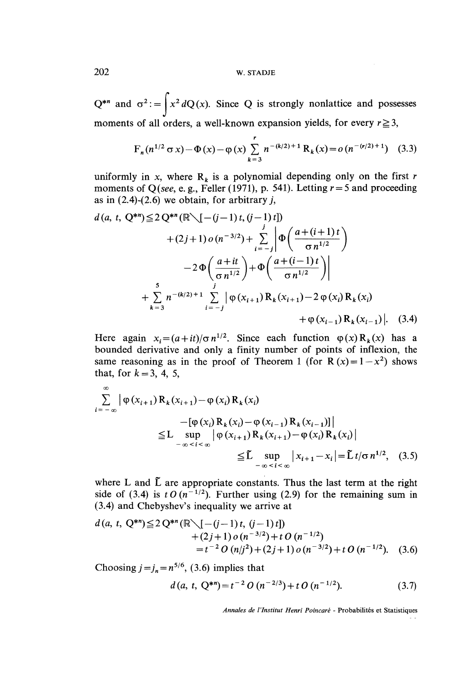202 W. STADJE

 $Q^{*n}$  and  $\sigma^2$ : =  $\int x^2 dQ(x)$ . Since Q is strongly nonlattice and possesses moments of all orders, a well-known expansion yields, for every  $r \ge 3$ ,

$$
F_n(n^{1/2} \sigma x) - \Phi(x) - \phi(x) \sum_{k=3}^r n^{-(k/2)+1} R_k(x) = o(n^{-(r/2)+1}) \quad (3.3)
$$

uniformly in x, where  $R_k$  is a polynomial depending only on the first r moments of Q(see, e. g., Feller (1971), p. 541). Letting  $r = 5$  and proceeding as in  $(2.4)-(2.6)$  we obtain, for arbitrary j,

$$
d(a, t, Q^{**}) \le 2 Q^{**} (\mathbb{R} \setminus [- (j-1) t, (j-1) t])
$$
  
+ (2j+1) o (n<sup>-3/2</sup>) +  $\sum_{i=-j}^{j} \left| \Phi\left(\frac{a+(i+1) t}{\sigma n^{1/2}}\right) - 2 \Phi\left(\frac{a+it}{\sigma n^{1/2}}\right) + \Phi\left(\frac{a+(i-1) t}{\sigma n^{1/2}}\right) \right|$   
+  $\sum_{k=3}^{5} n^{-(k/2)+1} \sum_{i=-j}^{j} \left| \phi(x_{i+1}) R_k(x_{i+1}) - 2 \phi(x_i) R_k(x_i) + \phi(x_{i-1}) \right|$ . (3.4)

Here again  $x_i = (a + it)/\sigma n^{1/2}$ . Since each function  $\varphi(x) R_k(x)$  has a bounded derivative and only a finity number of points of inflexion, the same reasoning as in the proof of Theorem 1 (for R  $(x)=1-x^2$ ) shows that, for  $k = 3, 4, 5,$ 

$$
\sum_{i=-\infty}^{\infty} |\varphi(x_{i+1}) R_k(x_{i+1}) - \varphi(x_i) R_k(x_i) - [\varphi(x_i) R_k(x_i) - \varphi(x_{i-1}) R_k(x_{i-1})]|
$$
  
\n
$$
\leq L \sup_{-\infty < i < \infty} |\varphi(x_{i+1}) R_k(x_{i+1}) - \varphi(x_i) R_k(x_i)|
$$
  
\n
$$
\leq \tilde{L} \sup_{-\infty < i < \infty} |x_{i+1} - x_i| = \tilde{L} t/\sigma n^{1/2}, \quad (3.5)
$$

where L and  $\tilde{L}$  are appropriate constants. Thus the last term at the right side of (3.4) is t O  $(n^{-1/2})$ . Further using (2.9) for the remaining sum in (3.4) and Chebyshev's inequality we arrive at

$$
d(a, t, Q^{*n}) \le 2 Q^{*n} (\mathbb{R} \setminus [-(j-1)t, (j-1)t])
$$
  
+ (2j+1) o (n<sup>-3/2</sup>) + t O (n<sup>-1/2</sup>)  
= t<sup>-2</sup> O (n/j<sup>2</sup>) + (2j+1) o (n<sup>-3/2</sup>) + t O (n<sup>-1/2</sup>). (3.6)

Choosing  $j=j_n = n^{5/6}$ , (3.6) implies that

$$
d(a, t, Q^{*n}) = t^{-2} O(n^{-2/3}) + t O(n^{-1/2}).
$$
\n(3.7)